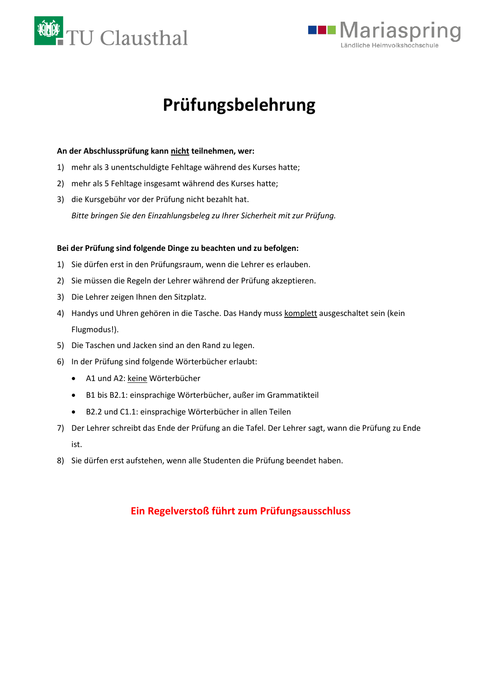



# **Prüfungsbelehrung**

### **An der Abschlussprüfung kann nicht teilnehmen, wer:**

- 1) mehr als 3 unentschuldigte Fehltage während des Kurses hatte;
- 2) mehr als 5 Fehltage insgesamt während des Kurses hatte;
- 3) die Kursgebühr vor der Prüfung nicht bezahlt hat. *Bitte bringen Sie den Einzahlungsbeleg zu Ihrer Sicherheit mit zur Prüfung.*

#### **Bei der Prüfung sind folgende Dinge zu beachten und zu befolgen:**

- 1) Sie dürfen erst in den Prüfungsraum, wenn die Lehrer es erlauben.
- 2) Sie müssen die Regeln der Lehrer während der Prüfung akzeptieren.
- 3) Die Lehrer zeigen Ihnen den Sitzplatz.
- 4) Handys und Uhren gehören in die Tasche. Das Handy muss komplett ausgeschaltet sein (kein Flugmodus!).
- 5) Die Taschen und Jacken sind an den Rand zu legen.
- 6) In der Prüfung sind folgende Wörterbücher erlaubt:
	- A1 und A2: keine Wörterbücher
	- B1 bis B2.1: einsprachige Wörterbücher, außer im Grammatikteil
	- B2.2 und C1.1: einsprachige Wörterbücher in allen Teilen
- 7) Der Lehrer schreibt das Ende der Prüfung an die Tafel. Der Lehrer sagt, wann die Prüfung zu Ende ist.
- 8) Sie dürfen erst aufstehen, wenn alle Studenten die Prüfung beendet haben.

### **Ein Regelverstoß führt zum Prüfungsausschluss**